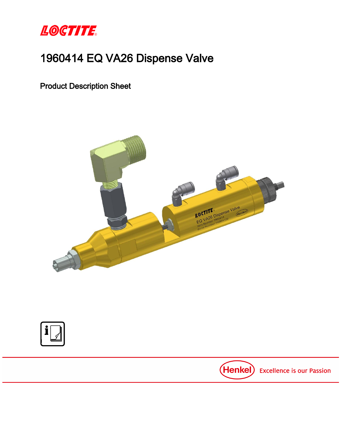

# 1960414 EQ VA26 Dispense Valve

Product Description Sheet





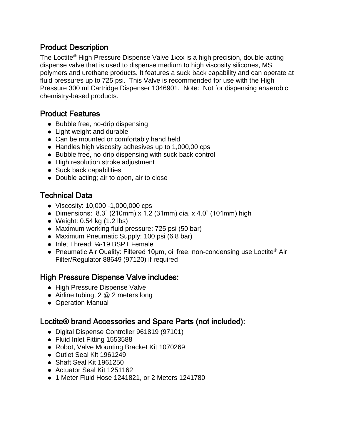### Product Description

The Loctite® High Pressure Dispense Valve 1xxx is a high precision, double-acting dispense valve that is used to dispense medium to high viscosity silicones, MS polymers and urethane products. It features a suck back capability and can operate at fluid pressures up to 725 psi. This Valve is recommended for use with the High Pressure 300 ml Cartridge Dispenser 1046901. Note: Not for dispensing anaerobic chemistry-based products.

### Product Features

- Bubble free, no-drip dispensing
- Light weight and durable
- Can be mounted or comfortably hand held
- Handles high viscosity adhesives up to 1,000,00 cps
- Bubble free, no-drip dispensing with suck back control
- High resolution stroke adjustment
- Suck back capabilities
- Double acting; air to open, air to close

## Technical Data

- Viscosity: 10,000 -1,000,000 cps
- Dimensions: 8.3" (210mm) x 1.2 (31mm) dia. x 4.0" (101mm) high
- $\bullet$  Weight: 0.54 kg (1.2 lbs)
- Maximum working fluid pressure: 725 psi (50 bar)
- Maximum Pneumatic Supply: 100 psi (6.8 bar)
- Inlet Thread: ¼-19 BSPT Female
- Pneumatic Air Quality: Filtered 10um, oil free, non-condensing use Loctite<sup>®</sup> Air Filter/Regulator 88649 (97120) if required

#### High Pressure Dispense Valve includes:

- High Pressure Dispense Valve
- Airline tubing, 2 @ 2 meters long
- Operation Manual

### Loctite® brand Accessories and Spare Parts (not included):

- Digital Dispense Controller 961819 (97101)
- Fluid Inlet Fitting 1553588
- Robot, Valve Mounting Bracket Kit 1070269
- Outlet Seal Kit 1961249
- Shaft Seal Kit 1961250
- Actuator Seal Kit 1251162
- 1 Meter Fluid Hose 1241821, or 2 Meters 1241780